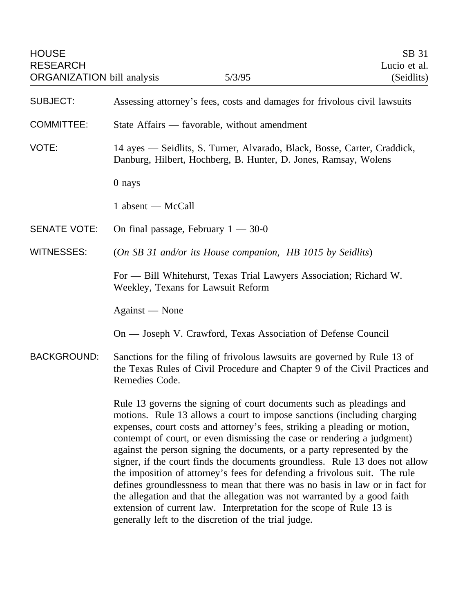| <b>HOUSE</b><br><b>RESEARCH</b><br><b>ORGANIZATION</b> bill analysis |                                                                                                                                                                            | 5/3/95                                                                                                                                                                                                                                                                                                                                                                                                                                                                                                                                                                                                                                                                                                                                                                              | SB 31<br>Lucio et al.<br>(Seidlits) |
|----------------------------------------------------------------------|----------------------------------------------------------------------------------------------------------------------------------------------------------------------------|-------------------------------------------------------------------------------------------------------------------------------------------------------------------------------------------------------------------------------------------------------------------------------------------------------------------------------------------------------------------------------------------------------------------------------------------------------------------------------------------------------------------------------------------------------------------------------------------------------------------------------------------------------------------------------------------------------------------------------------------------------------------------------------|-------------------------------------|
| <b>SUBJECT:</b>                                                      | Assessing attorney's fees, costs and damages for frivolous civil lawsuits                                                                                                  |                                                                                                                                                                                                                                                                                                                                                                                                                                                                                                                                                                                                                                                                                                                                                                                     |                                     |
| <b>COMMITTEE:</b>                                                    | State Affairs — favorable, without amendment                                                                                                                               |                                                                                                                                                                                                                                                                                                                                                                                                                                                                                                                                                                                                                                                                                                                                                                                     |                                     |
| VOTE:                                                                | 14 ayes - Seidlits, S. Turner, Alvarado, Black, Bosse, Carter, Craddick,<br>Danburg, Hilbert, Hochberg, B. Hunter, D. Jones, Ramsay, Wolens                                |                                                                                                                                                                                                                                                                                                                                                                                                                                                                                                                                                                                                                                                                                                                                                                                     |                                     |
|                                                                      | $0$ nays                                                                                                                                                                   |                                                                                                                                                                                                                                                                                                                                                                                                                                                                                                                                                                                                                                                                                                                                                                                     |                                     |
|                                                                      | $1$ absent — McCall                                                                                                                                                        |                                                                                                                                                                                                                                                                                                                                                                                                                                                                                                                                                                                                                                                                                                                                                                                     |                                     |
| <b>SENATE VOTE:</b>                                                  |                                                                                                                                                                            | On final passage, February $1 - 30 - 0$                                                                                                                                                                                                                                                                                                                                                                                                                                                                                                                                                                                                                                                                                                                                             |                                     |
| <b>WITNESSES:</b>                                                    | (On SB 31 and/or its House companion, HB 1015 by Seidlits)                                                                                                                 |                                                                                                                                                                                                                                                                                                                                                                                                                                                                                                                                                                                                                                                                                                                                                                                     |                                     |
|                                                                      | For — Bill Whitehurst, Texas Trial Lawyers Association; Richard W.<br>Weekley, Texans for Lawsuit Reform                                                                   |                                                                                                                                                                                                                                                                                                                                                                                                                                                                                                                                                                                                                                                                                                                                                                                     |                                     |
|                                                                      | Against — None                                                                                                                                                             |                                                                                                                                                                                                                                                                                                                                                                                                                                                                                                                                                                                                                                                                                                                                                                                     |                                     |
|                                                                      |                                                                                                                                                                            | On — Joseph V. Crawford, Texas Association of Defense Council                                                                                                                                                                                                                                                                                                                                                                                                                                                                                                                                                                                                                                                                                                                       |                                     |
| <b>BACKGROUND:</b>                                                   | Sanctions for the filing of frivolous lawsuits are governed by Rule 13 of<br>the Texas Rules of Civil Procedure and Chapter 9 of the Civil Practices and<br>Remedies Code. |                                                                                                                                                                                                                                                                                                                                                                                                                                                                                                                                                                                                                                                                                                                                                                                     |                                     |
|                                                                      |                                                                                                                                                                            | Rule 13 governs the signing of court documents such as pleadings and<br>motions. Rule 13 allows a court to impose sanctions (including charging<br>expenses, court costs and attorney's fees, striking a pleading or motion,<br>contempt of court, or even dismissing the case or rendering a judgment)<br>against the person signing the documents, or a party represented by the<br>signer, if the court finds the documents groundless. Rule 13 does not allow<br>the imposition of attorney's fees for defending a frivolous suit. The rule<br>defines groundlessness to mean that there was no basis in law or in fact for<br>the allegation and that the allegation was not warranted by a good faith<br>extension of current law. Interpretation for the scope of Rule 13 is |                                     |

generally left to the discretion of the trial judge.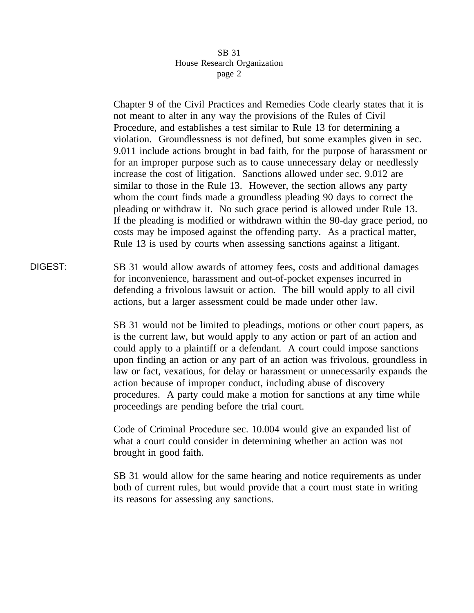Chapter 9 of the Civil Practices and Remedies Code clearly states that it is not meant to alter in any way the provisions of the Rules of Civil Procedure, and establishes a test similar to Rule 13 for determining a violation. Groundlessness is not defined, but some examples given in sec. 9.011 include actions brought in bad faith, for the purpose of harassment or for an improper purpose such as to cause unnecessary delay or needlessly increase the cost of litigation. Sanctions allowed under sec. 9.012 are similar to those in the Rule 13. However, the section allows any party whom the court finds made a groundless pleading 90 days to correct the pleading or withdraw it. No such grace period is allowed under Rule 13. If the pleading is modified or withdrawn within the 90-day grace period, no costs may be imposed against the offending party. As a practical matter, Rule 13 is used by courts when assessing sanctions against a litigant.

DIGEST: SB 31 would allow awards of attorney fees, costs and additional damages for inconvenience, harassment and out-of-pocket expenses incurred in defending a frivolous lawsuit or action. The bill would apply to all civil actions, but a larger assessment could be made under other law.

> SB 31 would not be limited to pleadings, motions or other court papers, as is the current law, but would apply to any action or part of an action and could apply to a plaintiff or a defendant. A court could impose sanctions upon finding an action or any part of an action was frivolous, groundless in law or fact, vexatious, for delay or harassment or unnecessarily expands the action because of improper conduct, including abuse of discovery procedures. A party could make a motion for sanctions at any time while proceedings are pending before the trial court.

Code of Criminal Procedure sec. 10.004 would give an expanded list of what a court could consider in determining whether an action was not brought in good faith.

SB 31 would allow for the same hearing and notice requirements as under both of current rules, but would provide that a court must state in writing its reasons for assessing any sanctions.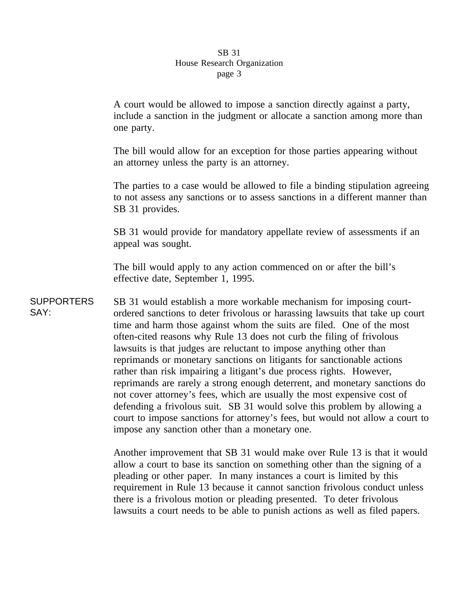A court would be allowed to impose a sanction directly against a party, include a sanction in the judgment or allocate a sanction among more than one party.

The bill would allow for an exception for those parties appearing without an attorney unless the party is an attorney.

The parties to a case would be allowed to file a binding stipulation agreeing to not assess any sanctions or to assess sanctions in a different manner than SB 31 provides.

SB 31 would provide for mandatory appellate review of assessments if an appeal was sought.

The bill would apply to any action commenced on or after the bill's effective date, September 1, 1995.

**SUPPORTERS** SAY: SB 31 would establish a more workable mechanism for imposing courtordered sanctions to deter frivolous or harassing lawsuits that take up court time and harm those against whom the suits are filed. One of the most often-cited reasons why Rule 13 does not curb the filing of frivolous lawsuits is that judges are reluctant to impose anything other than reprimands or monetary sanctions on litigants for sanctionable actions rather than risk impairing a litigant's due process rights. However, reprimands are rarely a strong enough deterrent, and monetary sanctions do not cover attorney's fees, which are usually the most expensive cost of defending a frivolous suit. SB 31 would solve this problem by allowing a court to impose sanctions for attorney's fees, but would not allow a court to impose any sanction other than a monetary one.

> Another improvement that SB 31 would make over Rule 13 is that it would allow a court to base its sanction on something other than the signing of a pleading or other paper. In many instances a court is limited by this requirement in Rule 13 because it cannot sanction frivolous conduct unless there is a frivolous motion or pleading presented. To deter frivolous lawsuits a court needs to be able to punish actions as well as filed papers.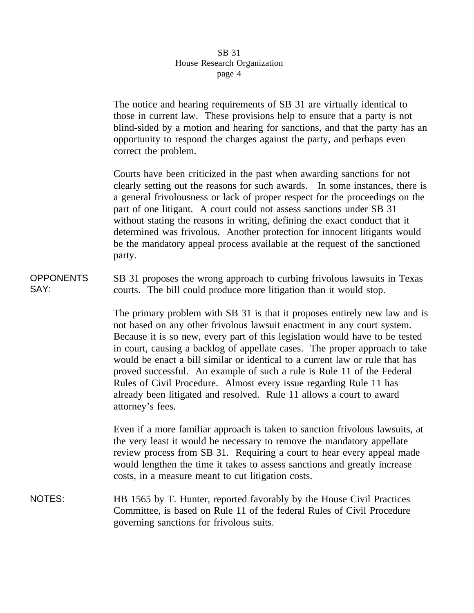The notice and hearing requirements of SB 31 are virtually identical to those in current law. These provisions help to ensure that a party is not blind-sided by a motion and hearing for sanctions, and that the party has an opportunity to respond the charges against the party, and perhaps even correct the problem.

Courts have been criticized in the past when awarding sanctions for not clearly setting out the reasons for such awards. In some instances, there is a general frivolousness or lack of proper respect for the proceedings on the part of one litigant. A court could not assess sanctions under SB 31 without stating the reasons in writing, defining the exact conduct that it determined was frivolous. Another protection for innocent litigants would be the mandatory appeal process available at the request of the sanctioned party.

**OPPONENTS** SAY: SB 31 proposes the wrong approach to curbing frivolous lawsuits in Texas courts. The bill could produce more litigation than it would stop.

> The primary problem with SB 31 is that it proposes entirely new law and is not based on any other frivolous lawsuit enactment in any court system. Because it is so new, every part of this legislation would have to be tested in court, causing a backlog of appellate cases. The proper approach to take would be enact a bill similar or identical to a current law or rule that has proved successful. An example of such a rule is Rule 11 of the Federal Rules of Civil Procedure. Almost every issue regarding Rule 11 has already been litigated and resolved. Rule 11 allows a court to award attorney's fees.

Even if a more familiar approach is taken to sanction frivolous lawsuits, at the very least it would be necessary to remove the mandatory appellate review process from SB 31. Requiring a court to hear every appeal made would lengthen the time it takes to assess sanctions and greatly increase costs, in a measure meant to cut litigation costs.

NOTES: HB 1565 by T. Hunter, reported favorably by the House Civil Practices Committee, is based on Rule 11 of the federal Rules of Civil Procedure governing sanctions for frivolous suits.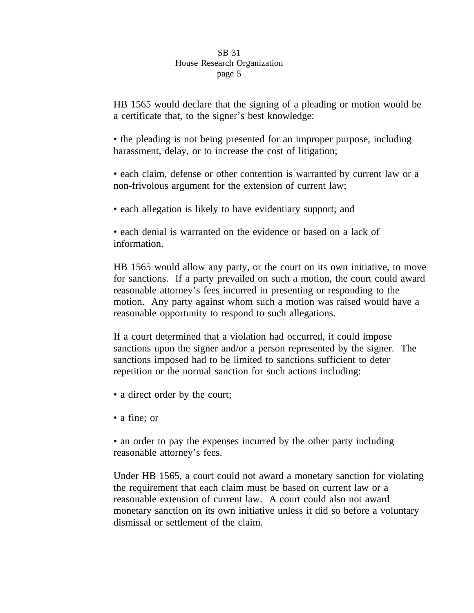HB 1565 would declare that the signing of a pleading or motion would be a certificate that, to the signer's best knowledge:

• the pleading is not being presented for an improper purpose, including harassment, delay, or to increase the cost of litigation;

• each claim, defense or other contention is warranted by current law or a non-frivolous argument for the extension of current law;

• each allegation is likely to have evidentiary support; and

• each denial is warranted on the evidence or based on a lack of information.

HB 1565 would allow any party, or the court on its own initiative, to move for sanctions. If a party prevailed on such a motion, the court could award reasonable attorney's fees incurred in presenting or responding to the motion. Any party against whom such a motion was raised would have a reasonable opportunity to respond to such allegations.

If a court determined that a violation had occurred, it could impose sanctions upon the signer and/or a person represented by the signer. The sanctions imposed had to be limited to sanctions sufficient to deter repetition or the normal sanction for such actions including:

- a direct order by the court;
- a fine; or

• an order to pay the expenses incurred by the other party including reasonable attorney's fees.

Under HB 1565, a court could not award a monetary sanction for violating the requirement that each claim must be based on current law or a reasonable extension of current law. A court could also not award monetary sanction on its own initiative unless it did so before a voluntary dismissal or settlement of the claim.